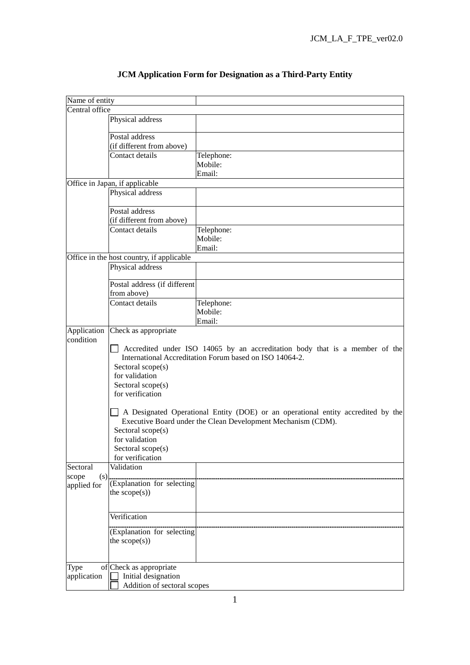| Name of entity |                                                                              |                                                                                                                                                  |
|----------------|------------------------------------------------------------------------------|--------------------------------------------------------------------------------------------------------------------------------------------------|
| Central office |                                                                              |                                                                                                                                                  |
|                | Physical address                                                             |                                                                                                                                                  |
|                |                                                                              |                                                                                                                                                  |
|                | Postal address                                                               |                                                                                                                                                  |
|                | (if different from above)                                                    |                                                                                                                                                  |
|                | Contact details                                                              | Telephone:                                                                                                                                       |
|                |                                                                              | Mobile:<br>Email:                                                                                                                                |
|                | Office in Japan, if applicable                                               |                                                                                                                                                  |
|                | Physical address                                                             |                                                                                                                                                  |
|                |                                                                              |                                                                                                                                                  |
|                | Postal address                                                               |                                                                                                                                                  |
|                | (if different from above)                                                    |                                                                                                                                                  |
|                | Contact details                                                              | Telephone:                                                                                                                                       |
|                |                                                                              | Mobile:                                                                                                                                          |
|                |                                                                              | Email:                                                                                                                                           |
|                | Office in the host country, if applicable                                    |                                                                                                                                                  |
|                | Physical address                                                             |                                                                                                                                                  |
|                |                                                                              |                                                                                                                                                  |
|                | Postal address (if different                                                 |                                                                                                                                                  |
|                | from above)                                                                  |                                                                                                                                                  |
|                | Contact details                                                              | Telephone:                                                                                                                                       |
|                |                                                                              | Mobile:                                                                                                                                          |
|                |                                                                              | Email:                                                                                                                                           |
| Application    | Check as appropriate                                                         |                                                                                                                                                  |
| condition      | Sectoral scope(s)<br>for validation<br>Sectoral scope(s)<br>for verification | Accredited under ISO 14065 by an accreditation body that is a member of the<br>International Accreditation Forum based on ISO 14064-2.           |
|                | Sectoral scope(s)<br>for validation<br>Sectoral scope(s)<br>for verification | A Designated Operational Entity (DOE) or an operational entity accredited by the<br>Executive Board under the Clean Development Mechanism (CDM). |
| Sectoral       | Validation                                                                   |                                                                                                                                                  |
| (s)<br>scope   |                                                                              |                                                                                                                                                  |
| applied for    | (Explanation for selecting                                                   |                                                                                                                                                  |
|                | the $scope(s))$                                                              |                                                                                                                                                  |
|                |                                                                              |                                                                                                                                                  |
|                | Verification                                                                 |                                                                                                                                                  |
|                |                                                                              |                                                                                                                                                  |
|                | (Explanation for selecting                                                   |                                                                                                                                                  |
|                | the $scope(s))$                                                              |                                                                                                                                                  |
|                |                                                                              |                                                                                                                                                  |
| Type           | of Check as appropriate                                                      |                                                                                                                                                  |
| application    | Initial designation                                                          |                                                                                                                                                  |
|                | Addition of sectoral scopes                                                  |                                                                                                                                                  |
|                |                                                                              |                                                                                                                                                  |

## **JCM Application Form for Designation as a Third-Party Entity**